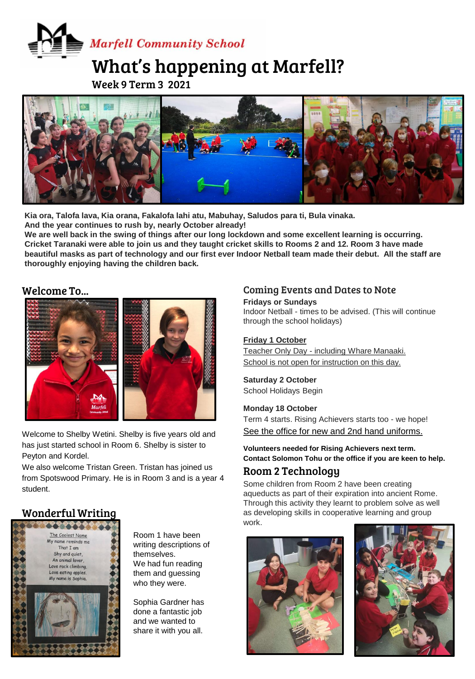# **Marfell Community School**

# What's happening at Marfell?

Week 9 Term 3 2021



Kia ora, Talofa lava, Kia orana, Fakalofa lahi atu, Mabuhay, Saludos para ti, Bula vinaka. **And the year continues to rush by, nearly October already!** 

**We are well back in the swing of things after our long lockdown and some excellent learning is occurring. Cricket Taranaki were able to join us and they taught cricket skills to Rooms 2 and 12. Room 3 have made beautiful masks as part of technology and our first ever Indoor Netball team made their debut. All the staff are thoroughly enjoying having the children back.** 

#### Welcome To...



Welcome to Shelby Wetini. Shelby is five years old and has just started school in Room 6. Shelby is sister to Peyton and Kordel.

We also welcome Tristan Green. Tristan has joined us from Spotswood Primary. He is in Room 3 and is a year 4 student.

# Wonderful Writing



Room 1 have been writing descriptions of themselves. We had fun reading them and guessing who they were.

Sophia Gardner has done a fantastic job and we wanted to share it with you all.

#### Coming Events and Dates to Note

**Fridays or Sundays** Indoor Netball - times to be advised. (This will continue through the school holidays)

#### **Friday 1 October**

Teacher Only Day - including Whare Manaaki. School is not open for instruction on this day.

# **Saturday 2 October**

School Holidays Begin

#### **Monday 18 October**

Term 4 starts. Rising Achievers starts too - we hope! See the office for new and 2nd hand uniforms.

**Volunteers needed for Rising Achievers next term. Contact Solomon Tohu or the office if you are keen to help.**

# Room 2 Technology

Some children from Room 2 have been creating aqueducts as part of their expiration into ancient Rome. Through this activity they learnt to problem solve as well as developing skills in cooperative learning and group work.